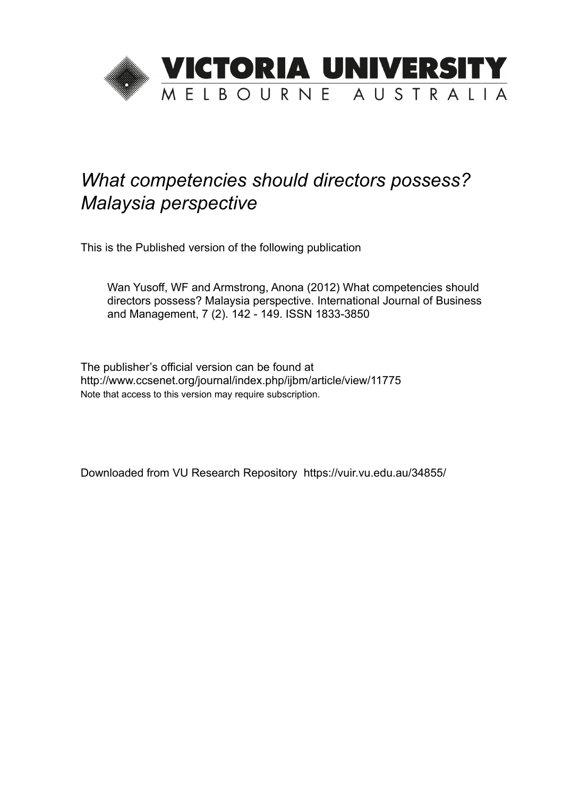

# *What competencies should directors possess? Malaysia perspective*

This is the Published version of the following publication

Wan Yusoff, WF and Armstrong, Anona (2012) What competencies should directors possess? Malaysia perspective. International Journal of Business and Management, 7 (2). 142 - 149. ISSN 1833-3850

The publisher's official version can be found at http://www.ccsenet.org/journal/index.php/ijbm/article/view/11775 Note that access to this version may require subscription.

Downloaded from VU Research Repository https://vuir.vu.edu.au/34855/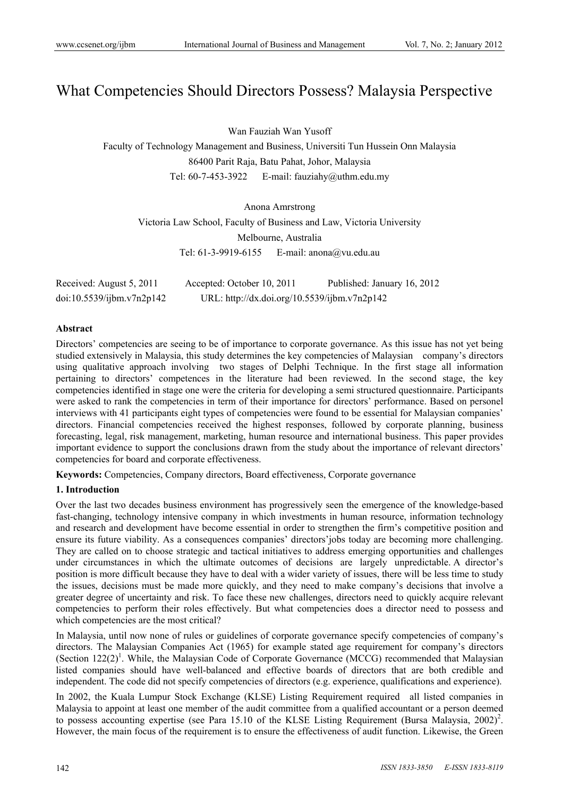# What Competencies Should Directors Possess? Malaysia Perspective

Wan Fauziah Wan Yusoff

Faculty of Technology Management and Business, Universiti Tun Hussein Onn Malaysia

86400 Parit Raja, Batu Pahat, Johor, Malaysia

Tel: 60-7-453-3922 E-mail: fauziahy@uthm.edu.my

Anona Amrstrong Victoria Law School, Faculty of Business and Law, Victoria University Melbourne, Australia Tel: 61-3-9919-6155 E-mail: anona@vu.edu.au

| Received: August 5, 2011  | Accepted: October 10, 2011                   | Published: January 16, 2012 |
|---------------------------|----------------------------------------------|-----------------------------|
| doi:10.5539/ijbm.v7n2p142 | URL: http://dx.doi.org/10.5539/ijbm.v7n2p142 |                             |

# **Abstract**

Directors' competencies are seeing to be of importance to corporate governance. As this issue has not yet being studied extensively in Malaysia, this study determines the key competencies of Malaysian company's directors using qualitative approach involving two stages of Delphi Technique. In the first stage all information pertaining to directors' competences in the literature had been reviewed. In the second stage, the key competencies identified in stage one were the criteria for developing a semi structured questionnaire. Participants were asked to rank the competencies in term of their importance for directors' performance. Based on personel interviews with 41 participants eight types of competencies were found to be essential for Malaysian companies' directors. Financial competencies received the highest responses, followed by corporate planning, business forecasting, legal, risk management, marketing, human resource and international business. This paper provides important evidence to support the conclusions drawn from the study about the importance of relevant directors' competencies for board and corporate effectiveness.

**Keywords:** Competencies, Company directors, Board effectiveness, Corporate governance

#### **1. Introduction**

Over the last two decades business environment has progressively seen the emergence of the knowledge-based fast-changing, technology intensive company in which investments in human resource, information technology and research and development have become essential in order to strengthen the firm's competitive position and ensure its future viability. As a consequences companies' directors'jobs today are becoming more challenging. They are called on to choose strategic and tactical initiatives to address emerging opportunities and challenges under circumstances in which the ultimate outcomes of decisions are largely unpredictable. A director's position is more difficult because they have to deal with a wider variety of issues, there will be less time to study the issues, decisions must be made more quickly, and they need to make company's decisions that involve a greater degree of uncertainty and risk. To face these new challenges, directors need to quickly acquire relevant competencies to perform their roles effectively. But what competencies does a director need to possess and which competencies are the most critical?

In Malaysia, until now none of rules or guidelines of corporate governance specify competencies of company's directors. The Malaysian Companies Act (1965) for example stated age requirement for company's directors (Section 122(2)<sup>1</sup>. While, the Malaysian Code of Corporate Governance (MCCG) recommended that Malaysian listed companies should have well-balanced and effective boards of directors that are both credible and independent. The code did not specify competencies of directors (e.g. experience, qualifications and experience).

In 2002, the Kuala Lumpur Stock Exchange (KLSE) Listing Requirement required all listed companies in Malaysia to appoint at least one member of the audit committee from a qualified accountant or a person deemed to possess accounting expertise (see Para 15.10 of the KLSE Listing Requirement (Bursa Malaysia, 2002)<sup>2</sup>. However, the main focus of the requirement is to ensure the effectiveness of audit function. Likewise, the Green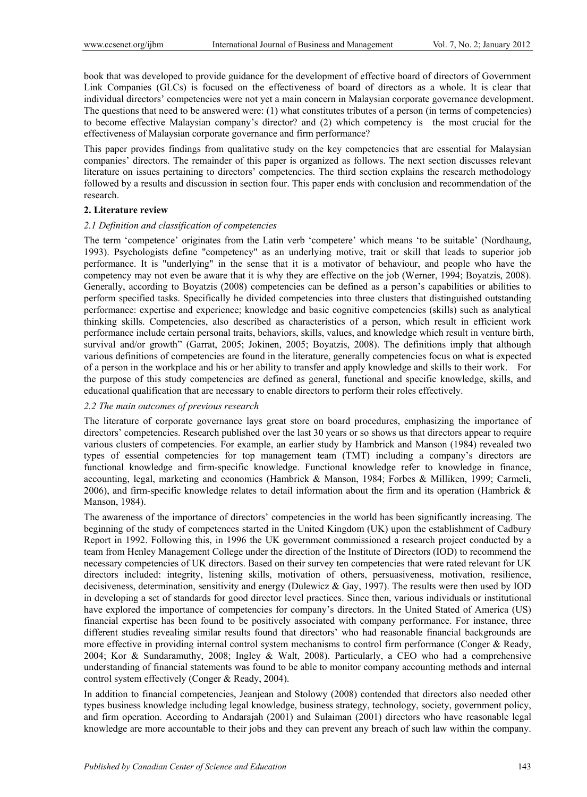book that was developed to provide guidance for the development of effective board of directors of Government Link Companies (GLCs) is focused on the effectiveness of board of directors as a whole. It is clear that individual directors' competencies were not yet a main concern in Malaysian corporate governance development. The questions that need to be answered were: (1) what constitutes tributes of a person (in terms of competencies) to become effective Malaysian company's director? and (2) which competency is the most crucial for the effectiveness of Malaysian corporate governance and firm performance?

This paper provides findings from qualitative study on the key competencies that are essential for Malaysian companies' directors. The remainder of this paper is organized as follows. The next section discusses relevant literature on issues pertaining to directors' competencies. The third section explains the research methodology followed by a results and discussion in section four. This paper ends with conclusion and recommendation of the research.

#### **2. Literature review**

#### *2.1 Definition and classification of competencies*

The term 'competence' originates from the Latin verb 'competere' which means 'to be suitable' (Nordhaung, 1993). Psychologists define "competency" as an underlying motive, trait or skill that leads to superior job performance. It is "underlying" in the sense that it is a motivator of behaviour, and people who have the competency may not even be aware that it is why they are effective on the job (Werner, 1994; Boyatzis, 2008). Generally, according to Boyatzis (2008) competencies can be defined as a person's capabilities or abilities to perform specified tasks. Specifically he divided competencies into three clusters that distinguished outstanding performance: expertise and experience; knowledge and basic cognitive competencies (skills) such as analytical thinking skills. Competencies, also described as characteristics of a person, which result in efficient work performance include certain personal traits, behaviors, skills, values, and knowledge which result in venture birth, survival and/or growth" (Garrat, 2005; Jokinen, 2005; Boyatzis, 2008). The definitions imply that although various definitions of competencies are found in the literature, generally competencies focus on what is expected of a person in the workplace and his or her ability to transfer and apply knowledge and skills to their work. For the purpose of this study competencies are defined as general, functional and specific knowledge, skills, and educational qualification that are necessary to enable directors to perform their roles effectively.

#### *2.2 The main outcomes of previous research*

The literature of corporate governance lays great store on board procedures, emphasizing the importance of directors' competencies. Research published over the last 30 years or so shows us that directors appear to require various clusters of competencies. For example, an earlier study by Hambrick and Manson (1984) revealed two types of essential competencies for top management team (TMT) including a company's directors are functional knowledge and firm-specific knowledge. Functional knowledge refer to knowledge in finance, accounting, legal, marketing and economics (Hambrick & Manson, 1984; Forbes & Milliken, 1999; Carmeli, 2006), and firm-specific knowledge relates to detail information about the firm and its operation (Hambrick  $\&$ Manson, 1984).

The awareness of the importance of directors' competencies in the world has been significantly increasing. The beginning of the study of competences started in the United Kingdom (UK) upon the establishment of Cadbury Report in 1992. Following this, in 1996 the UK government commissioned a research project conducted by a team from Henley Management College under the direction of the Institute of Directors (IOD) to recommend the necessary competencies of UK directors. Based on their survey ten competencies that were rated relevant for UK directors included: integrity, listening skills, motivation of others, persuasiveness, motivation, resilience, decisiveness, determination, sensitivity and energy (Dulewicz & Gay, 1997). The results were then used by IOD in developing a set of standards for good director level practices. Since then, various individuals or institutional have explored the importance of competencies for company's directors. In the United Stated of America (US) financial expertise has been found to be positively associated with company performance. For instance, three different studies revealing similar results found that directors' who had reasonable financial backgrounds are more effective in providing internal control system mechanisms to control firm performance (Conger & Ready, 2004; Kor & Sundaramuthy, 2008; Ingley & Walt, 2008). Particularly, a CEO who had a comprehensive understanding of financial statements was found to be able to monitor company accounting methods and internal control system effectively (Conger & Ready, 2004).

In addition to financial competencies, Jeanjean and Stolowy (2008) contended that directors also needed other types business knowledge including legal knowledge, business strategy, technology, society, government policy, and firm operation. According to Andarajah (2001) and Sulaiman (2001) directors who have reasonable legal knowledge are more accountable to their jobs and they can prevent any breach of such law within the company.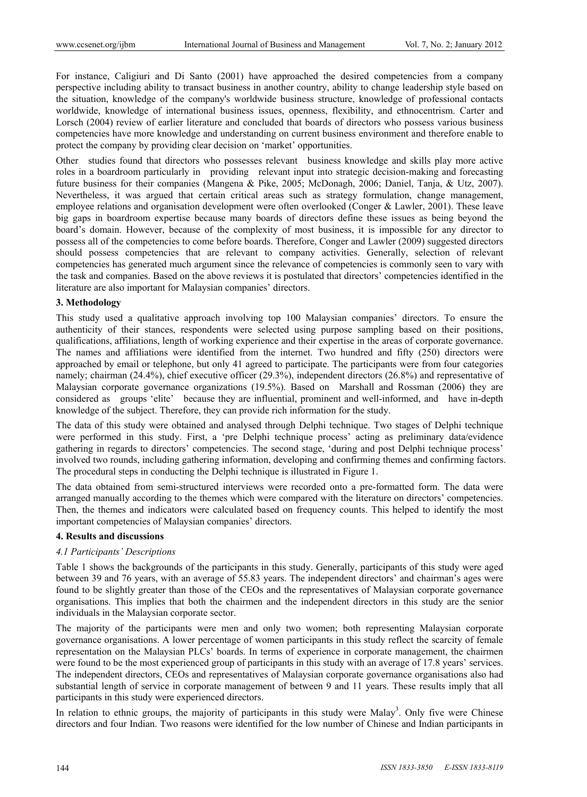For instance, Caligiuri and Di Santo (2001) have approached the desired competencies from a company perspective including ability to transact business in another country, ability to change leadership style based on the situation, knowledge of the company's worldwide business structure, knowledge of professional contacts worldwide, knowledge of international business issues, openness, flexibility, and ethnocentrism. Carter and Lorsch (2004) review of earlier literature and concluded that boards of directors who possess various business competencies have more knowledge and understanding on current business environment and therefore enable to protect the company by providing clear decision on 'market' opportunities.

Other studies found that directors who possesses relevant business knowledge and skills play more active roles in a boardroom particularly in providing relevant input into strategic decision-making and forecasting future business for their companies (Mangena & Pike, 2005; McDonagh, 2006; Daniel, Tanja, & Utz, 2007). Nevertheless, it was argued that certain critical areas such as strategy formulation, change management, employee relations and organisation development were often overlooked (Conger & Lawler, 2001). These leave big gaps in boardroom expertise because many boards of directors define these issues as being beyond the board's domain. However, because of the complexity of most business, it is impossible for any director to possess all of the competencies to come before boards. Therefore, Conger and Lawler (2009) suggested directors should possess competencies that are relevant to company activities. Generally, selection of relevant competencies has generated much argument since the relevance of competencies is commonly seen to vary with the task and companies. Based on the above reviews it is postulated that directors' competencies identified in the literature are also important for Malaysian companies' directors.

#### **3. Methodology**

This study used a qualitative approach involving top 100 Malaysian companies' directors. To ensure the authenticity of their stances, respondents were selected using purpose sampling based on their positions, qualifications, affiliations, length of working experience and their expertise in the areas of corporate governance. The names and affiliations were identified from the internet. Two hundred and fifty (250) directors were approached by email or telephone, but only 41 agreed to participate. The participants were from four categories namely; chairman (24.4%), chief executive officer (29.3%), independent directors (26.8%) and representative of Malaysian corporate governance organizations (19.5%). Based on Marshall and Rossman (2006) they are considered as groups 'elite' because they are influential, prominent and well-informed, and have in-depth knowledge of the subject. Therefore, they can provide rich information for the study.

The data of this study were obtained and analysed through Delphi technique. Two stages of Delphi technique were performed in this study. First, a 'pre Delphi technique process' acting as preliminary data/evidence gathering in regards to directors' competencies. The second stage, 'during and post Delphi technique process' involved two rounds, including gathering information, developing and confirming themes and confirming factors. The procedural steps in conducting the Delphi technique is illustrated in Figure 1.

The data obtained from semi-structured interviews were recorded onto a pre-formatted form. The data were arranged manually according to the themes which were compared with the literature on directors' competencies. Then, the themes and indicators were calculated based on frequency counts. This helped to identify the most important competencies of Malaysian companies' directors.

#### **4. Results and discussions**

#### *4.1 Participants' Descriptions*

Table 1 shows the backgrounds of the participants in this study. Generally, participants of this study were aged between 39 and 76 years, with an average of 55.83 years. The independent directors' and chairman's ages were found to be slightly greater than those of the CEOs and the representatives of Malaysian corporate governance organisations. This implies that both the chairmen and the independent directors in this study are the senior individuals in the Malaysian corporate sector.

The majority of the participants were men and only two women; both representing Malaysian corporate governance organisations. A lower percentage of women participants in this study reflect the scarcity of female representation on the Malaysian PLCs' boards. In terms of experience in corporate management, the chairmen were found to be the most experienced group of participants in this study with an average of 17.8 years' services. The independent directors, CEOs and representatives of Malaysian corporate governance organisations also had substantial length of service in corporate management of between 9 and 11 years. These results imply that all participants in this study were experienced directors.

In relation to ethnic groups, the majority of participants in this study were Malay<sup>3</sup>. Only five were Chinese directors and four Indian. Two reasons were identified for the low number of Chinese and Indian participants in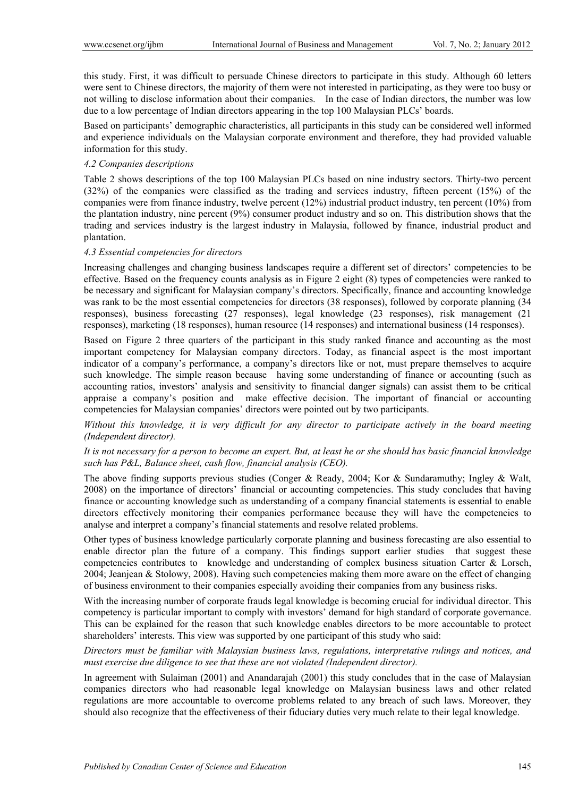this study. First, it was difficult to persuade Chinese directors to participate in this study. Although 60 letters were sent to Chinese directors, the majority of them were not interested in participating, as they were too busy or not willing to disclose information about their companies. In the case of Indian directors, the number was low due to a low percentage of Indian directors appearing in the top 100 Malaysian PLCs' boards.

Based on participants' demographic characteristics, all participants in this study can be considered well informed and experience individuals on the Malaysian corporate environment and therefore, they had provided valuable information for this study.

#### *4.2 Companies descriptions*

Table 2 shows descriptions of the top 100 Malaysian PLCs based on nine industry sectors. Thirty-two percent (32%) of the companies were classified as the trading and services industry, fifteen percent (15%) of the companies were from finance industry, twelve percent (12%) industrial product industry, ten percent (10%) from the plantation industry, nine percent (9%) consumer product industry and so on. This distribution shows that the trading and services industry is the largest industry in Malaysia, followed by finance, industrial product and plantation.

#### *4.3 Essential competencies for directors*

Increasing challenges and changing business landscapes require a different set of directors' competencies to be effective. Based on the frequency counts analysis as in Figure 2 eight (8) types of competencies were ranked to be necessary and significant for Malaysian company's directors. Specifically, finance and accounting knowledge was rank to be the most essential competencies for directors (38 responses), followed by corporate planning (34 responses), business forecasting (27 responses), legal knowledge (23 responses), risk management (21 responses), marketing (18 responses), human resource (14 responses) and international business (14 responses).

Based on Figure 2 three quarters of the participant in this study ranked finance and accounting as the most important competency for Malaysian company directors. Today, as financial aspect is the most important indicator of a company's performance, a company's directors like or not, must prepare themselves to acquire such knowledge. The simple reason because having some understanding of finance or accounting (such as accounting ratios, investors' analysis and sensitivity to financial danger signals) can assist them to be critical appraise a company's position and make effective decision. The important of financial or accounting competencies for Malaysian companies' directors were pointed out by two participants.

# *Without this knowledge, it is very difficult for any director to participate actively in the board meeting (Independent director).*

#### *It is not necessary for a person to become an expert. But, at least he or she should has basic financial knowledge such has P&L, Balance sheet, cash flow, financial analysis (CEO).*

The above finding supports previous studies (Conger & Ready, 2004; Kor & Sundaramuthy; Ingley & Walt, 2008) on the importance of directors' financial or accounting competencies. This study concludes that having finance or accounting knowledge such as understanding of a company financial statements is essential to enable directors effectively monitoring their companies performance because they will have the competencies to analyse and interpret a company's financial statements and resolve related problems.

Other types of business knowledge particularly corporate planning and business forecasting are also essential to enable director plan the future of a company. This findings support earlier studies that suggest these competencies contributes to knowledge and understanding of complex business situation Carter & Lorsch, 2004; Jeanjean & Stolowy, 2008). Having such competencies making them more aware on the effect of changing of business environment to their companies especially avoiding their companies from any business risks.

With the increasing number of corporate frauds legal knowledge is becoming crucial for individual director. This competency is particular important to comply with investors' demand for high standard of corporate governance. This can be explained for the reason that such knowledge enables directors to be more accountable to protect shareholders' interests. This view was supported by one participant of this study who said:

## *Directors must be familiar with Malaysian business laws, regulations, interpretative rulings and notices, and must exercise due diligence to see that these are not violated (Independent director).*

In agreement with Sulaiman (2001) and Anandarajah (2001) this study concludes that in the case of Malaysian companies directors who had reasonable legal knowledge on Malaysian business laws and other related regulations are more accountable to overcome problems related to any breach of such laws. Moreover, they should also recognize that the effectiveness of their fiduciary duties very much relate to their legal knowledge.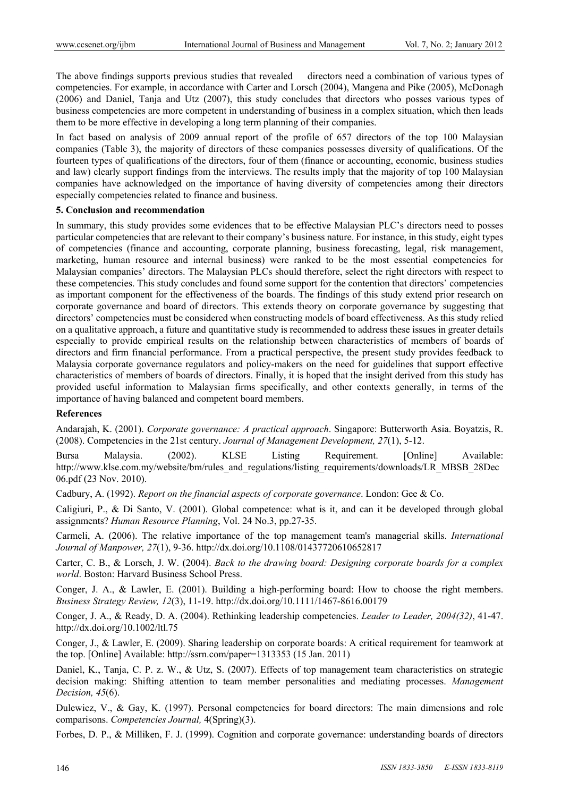The above findings supports previous studies that revealed directors need a combination of various types of competencies. For example, in accordance with Carter and Lorsch (2004), Mangena and Pike (2005), McDonagh (2006) and Daniel, Tanja and Utz (2007), this study concludes that directors who posses various types of business competencies are more competent in understanding of business in a complex situation, which then leads them to be more effective in developing a long term planning of their companies.

In fact based on analysis of 2009 annual report of the profile of 657 directors of the top 100 Malaysian companies (Table 3), the majority of directors of these companies possesses diversity of qualifications. Of the fourteen types of qualifications of the directors, four of them (finance or accounting, economic, business studies and law) clearly support findings from the interviews. The results imply that the majority of top 100 Malaysian companies have acknowledged on the importance of having diversity of competencies among their directors especially competencies related to finance and business.

#### **5. Conclusion and recommendation**

In summary, this study provides some evidences that to be effective Malaysian PLC's directors need to posses particular competencies that are relevant to their company's business nature. For instance, in this study, eight types of competencies (finance and accounting, corporate planning, business forecasting, legal, risk management, marketing, human resource and internal business) were ranked to be the most essential competencies for Malaysian companies' directors. The Malaysian PLCs should therefore, select the right directors with respect to these competencies. This study concludes and found some support for the contention that directors' competencies as important component for the effectiveness of the boards. The findings of this study extend prior research on corporate governance and board of directors. This extends theory on corporate governance by suggesting that directors' competencies must be considered when constructing models of board effectiveness. As this study relied on a qualitative approach, a future and quantitative study is recommended to address these issues in greater details especially to provide empirical results on the relationship between characteristics of members of boards of directors and firm financial performance. From a practical perspective, the present study provides feedback to Malaysia corporate governance regulators and policy-makers on the need for guidelines that support effective characteristics of members of boards of directors. Finally, it is hoped that the insight derived from this study has provided useful information to Malaysian firms specifically, and other contexts generally, in terms of the importance of having balanced and competent board members.

#### **References**

Andarajah, K. (2001). *Corporate governance: A practical approach*. Singapore: Butterworth Asia. Boyatzis, R. (2008). Competencies in the 21st century. *Journal of Management Development, 27*(1), 5-12.

Bursa Malaysia. (2002). KLSE Listing Requirement. [Online] Available: http://www.klse.com.my/website/bm/rules\_and\_regulations/listing\_requirements/downloads/LR\_MBSB\_28Dec 06.pdf (23 Nov. 2010).

Cadbury, A. (1992). *Report on the financial aspects of corporate governance*. London: Gee & Co.

Caligiuri, P., & Di Santo, V. (2001). Global competence: what is it, and can it be developed through global assignments? *Human Resource Planning*, Vol. 24 No.3, pp.27-35.

Carmeli, A. (2006). The relative importance of the top management team's managerial skills. *International Journal of Manpower, 27*(1), 9-36. http://dx.doi.org/10.1108/01437720610652817

Carter, C. B., & Lorsch, J. W. (2004). *Back to the drawing board: Designing corporate boards for a complex world*. Boston: Harvard Business School Press.

Conger, J. A., & Lawler, E. (2001). Building a high-performing board: How to choose the right members. *Business Strategy Review, 12*(3), 11-19. http://dx.doi.org/10.1111/1467-8616.00179

Conger, J. A., & Ready, D. A. (2004). Rethinking leadership competencies. *Leader to Leader, 2004(32)*, 41-47. http://dx.doi.org/10.1002/ltl.75

Conger, J., & Lawler, E. (2009). Sharing leadership on corporate boards: A critical requirement for teamwork at the top. [Online] Available: http://ssrn.com/paper=1313353 (15 Jan. 2011)

Daniel, K., Tanja, C. P. z. W., & Utz, S. (2007). Effects of top management team characteristics on strategic decision making: Shifting attention to team member personalities and mediating processes. *Management Decision, 45*(6).

Dulewicz, V., & Gay, K. (1997). Personal competencies for board directors: The main dimensions and role comparisons. *Competencies Journal,* 4(Spring)(3).

Forbes, D. P., & Milliken, F. J. (1999). Cognition and corporate governance: understanding boards of directors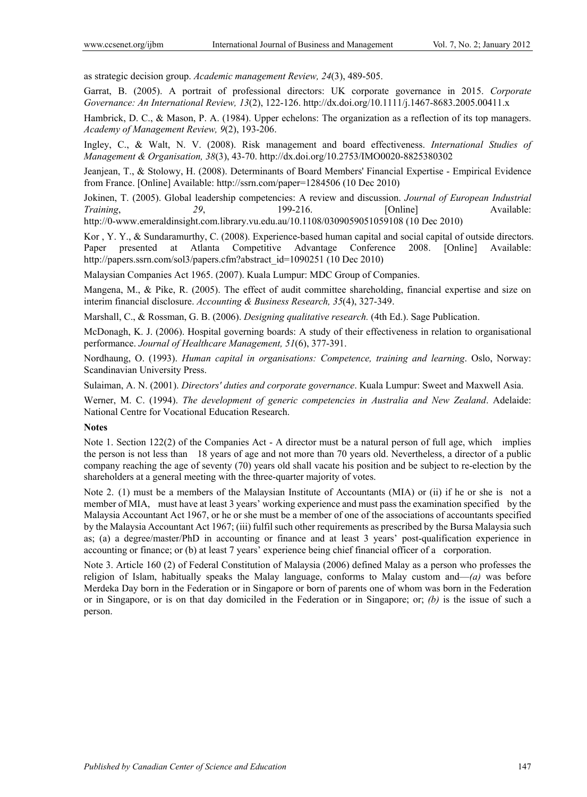as strategic decision group. *Academic management Review, 24*(3), 489-505.

Garrat, B. (2005). A portrait of professional directors: UK corporate governance in 2015. *Corporate Governance: An International Review, 13*(2), 122-126. http://dx.doi.org/10.1111/j.1467-8683.2005.00411.x

Hambrick, D. C., & Mason, P. A. (1984). Upper echelons: The organization as a reflection of its top managers. *Academy of Management Review, 9*(2), 193-206.

Ingley, C., & Walt, N. V. (2008). Risk management and board effectiveness. *International Studies of Management & Organisation, 38*(3), 43-70. http://dx.doi.org/10.2753/IMO0020-8825380302

Jeanjean, T., & Stolowy, H. (2008). Determinants of Board Members' Financial Expertise - Empirical Evidence from France. [Online] Available: http://ssrn.com/paper=1284506 (10 Dec 2010)

Jokinen, T. (2005). Global leadership competencies: A review and discussion. *Journal of European Industrial Training*, *29*, 199-216. [Online] Available: http://0-www.emeraldinsight.com.library.vu.edu.au/10.1108/0309059051059108 (10 Dec 2010)

Kor , Y. Y., & Sundaramurthy, C. (2008). Experience-based human capital and social capital of outside directors. Paper presented at Atlanta Competitive Advantage Conference 2008. [Online] Available: http://papers.ssrn.com/sol3/papers.cfm?abstract\_id=1090251 (10 Dec 2010)

Malaysian Companies Act 1965. (2007). Kuala Lumpur: MDC Group of Companies.

Mangena, M., & Pike, R. (2005). The effect of audit committee shareholding, financial expertise and size on interim financial disclosure. *Accounting & Business Research, 35*(4), 327-349.

Marshall, C., & Rossman, G. B. (2006). *Designing qualitative research.* (4th Ed.). Sage Publication.

McDonagh, K. J. (2006). Hospital governing boards: A study of their effectiveness in relation to organisational performance. *Journal of Healthcare Management, 51*(6), 377-391.

Nordhaung, O. (1993). *Human capital in organisations: Competence, training and learning*. Oslo, Norway: Scandinavian University Press.

Sulaiman, A. N. (2001). *Directors' duties and corporate governance*. Kuala Lumpur: Sweet and Maxwell Asia.

Werner, M. C. (1994). *The development of generic competencies in Australia and New Zealand*. Adelaide: National Centre for Vocational Education Research.

# **Notes**

Note 1. Section 122(2) of the Companies Act - A director must be a natural person of full age, which implies the person is not less than 18 years of age and not more than 70 years old. Nevertheless, a director of a public company reaching the age of seventy (70) years old shall vacate his position and be subject to re-election by the shareholders at a general meeting with the three-quarter majority of votes.

Note 2. (1) must be a members of the Malaysian Institute of Accountants (MIA) or (ii) if he or she is not a member of MIA, must have at least 3 years' working experience and must pass the examination specified by the Malaysia Accountant Act 1967, or he or she must be a member of one of the associations of accountants specified by the Malaysia Accountant Act 1967; (iii) fulfil such other requirements as prescribed by the Bursa Malaysia such as; (a) a degree/master/PhD in accounting or finance and at least 3 years' post-qualification experience in accounting or finance; or (b) at least 7 years' experience being chief financial officer of a corporation.

Note 3. Article 160 (2) of Federal Constitution of Malaysia (2006) defined Malay as a person who professes the religion of Islam, habitually speaks the Malay language, conforms to Malay custom and—*(a)* was before Merdeka Day born in the Federation or in Singapore or born of parents one of whom was born in the Federation or in Singapore, or is on that day domiciled in the Federation or in Singapore; or; *(b)* is the issue of such a person.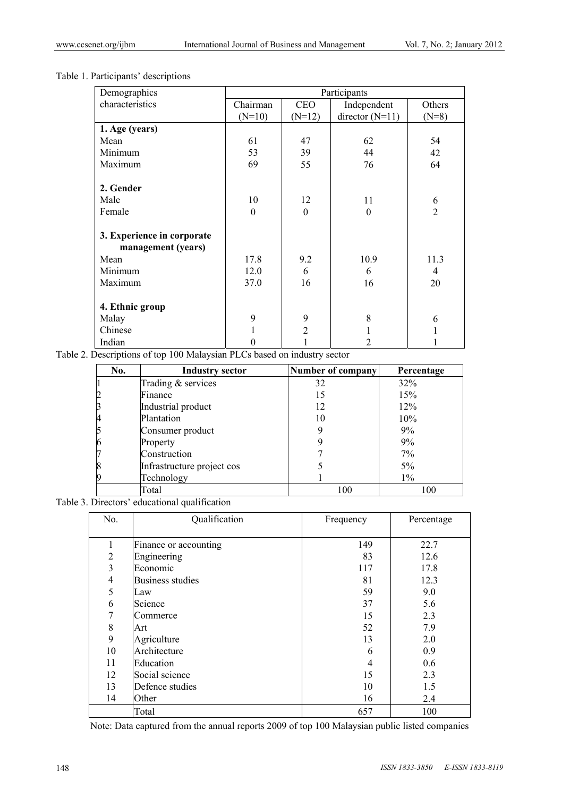# Table 1. Participants' descriptions

| Demographics               | Participants   |                |                   |                |
|----------------------------|----------------|----------------|-------------------|----------------|
| characteristics            | Chairman       | <b>CEO</b>     | Independent       | Others         |
|                            | $(N=10)$       | $(N=12)$       | director $(N=11)$ | $(N=8)$        |
| 1. Age (years)             |                |                |                   |                |
| Mean                       | 61             | 47             | 62                | 54             |
| Minimum                    | 53             | 39             | 44                | 42             |
| Maximum                    | 69             | 55             | 76                | 64             |
|                            |                |                |                   |                |
| 2. Gender                  |                |                |                   |                |
| Male                       | 10             | 12             | 11                | 6              |
| Female                     | $\overline{0}$ | $\theta$       | $\theta$          | $\overline{2}$ |
|                            |                |                |                   |                |
| 3. Experience in corporate |                |                |                   |                |
| management (years)         |                |                |                   |                |
| Mean                       | 17.8           | 9.2            | 10.9              | 11.3           |
| Minimum                    | 12.0           | 6              | 6                 | 4              |
| Maximum                    | 37.0           | 16             | 16                | 20             |
|                            |                |                |                   |                |
| 4. Ethnic group            |                |                |                   |                |
| Malay                      | 9              | 9              | 8                 | 6              |
| Chinese                    | 1              | $\overline{2}$ |                   |                |
| Indian                     | $\overline{0}$ |                | 2                 |                |

Table 2. Descriptions of top 100 Malaysian PLCs based on industry sector

| No. | <b>Industry sector</b>     | Number of company | Percentage |
|-----|----------------------------|-------------------|------------|
|     | Trading & services         | 32                | 32%        |
|     | Finance                    | 15                | 15%        |
|     | Industrial product         | 12                | 12%        |
|     | Plantation                 | 10                | 10%        |
|     | Consumer product           | 9                 | 9%         |
|     | Property                   |                   | 9%         |
|     | Construction               |                   | 7%         |
|     | Infrastructure project cos |                   | $5\%$      |
|     | Technology                 |                   | $1\%$      |
|     | Total                      | 100               | 100        |

Table 3. Directors' educational qualification

| No.              | Qualification           | Frequency | Percentage |
|------------------|-------------------------|-----------|------------|
| $\mathbf{1}$     | Finance or accounting   | 149       | 22.7       |
| $\boldsymbol{2}$ | Engineering             | 83        | 12.6       |
| $\overline{3}$   | Economic                | 117       | 17.8       |
| $\overline{4}$   | <b>Business studies</b> | 81        | 12.3       |
| 5                | Law                     | 59        | 9.0        |
| 6                | Science                 | 37        | 5.6        |
| 7                | lCommerce               | 15        | 2.3        |
| $8\,$            | Art                     | 52        | 7.9        |
| 9                | Agriculture             | 13        | 2.0        |
| 10               | Architecture            | 6         | 0.9        |
| 11               | Education               | 4         | 0.6        |
| 12               | Social science          | 15        | 2.3        |
| 13               | Defence studies         | 10        | 1.5        |
| 14               | Other                   | 16        | 2.4        |
|                  | Total                   | 657       | 100        |

Note: Data captured from the annual reports 2009 of top 100 Malaysian public listed companies